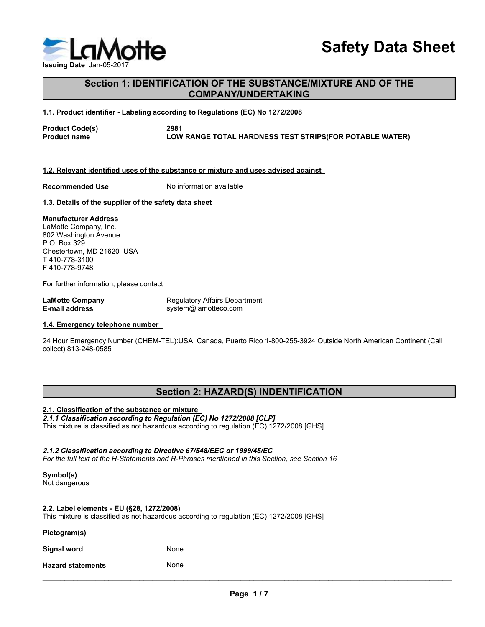

# S<br>
Issuing Date Jan-05-2017<br>
Section 1: IDENTIFICATION OF THE SUBSTANCE/MIX<br>
COMPANY/UNDERTAKING<br>
1.1. Product identifier - Labeling according to Regulations (EC) No 1272/2008 Section 1: IDENTIFICATION OF THE SUBSTANCE/MIXTURE AND OF THE COMPANY/UNDERTAKING Safety Data Sheet<br>
Issuing Date Jan-05-2017<br>
Section 1: IDENTIFICATION OF THE SUBSTANCE/MIXTURE AND OF THE<br>
1.1. Product identifier - Labeling according to Regulations (EC) No 1272/2008<br>
Product Code(s)<br>
Product name<br>
LOW Safety Data SI<br>
Issuing Date Jan-05-2017<br>
Section 1: IDENTIFICATION OF THE SUBSTANCE/MIXTURE AND OF THE<br>
COMPANY/UNDERTAKING<br>
Product Code(s)<br>
Product Code(s)<br>
Product name<br>
2981<br>
2981<br>
LOW RANGE TOTAL HARDNESS TEST STRIPS Sasuing Date Jan-05-2017<br>
Section 1: IDENTIFICATION OF THE SUBSTANCE/MIXTURE AND OF THE<br>
COMPANY/UNDERTAKING<br>
1.1. Product Identifier - Labeling according to Regulations (EC) No 1272/2008<br>
Product Code(s)<br>
2891<br>
Product na Safety Data Sheet<br>
1.1. Product identifier . Labeling according to Regulations (EC) No 1272/2008<br>
1.1. Product Code(s)<br>
Product Code(s)<br>
Product Code(s)<br>
2891<br>
Product Code(s)<br>
2891<br>
2. Relevant identified uses of the subs Saving Date Jan-05:2017<br>
Section 1: IDENTIFICATION OF THE SUBSTANCE/MIXTURE AND OF THE<br>
COMPANY/UNDERTAKING<br>
1.1. Product Code(s)<br>
Product Code(s)<br>
Product code(s)<br>
2011<br>
Recommended Use<br>
1.2. Relevant identified uses of t Safety Data Sheet<br>
Section 1: IDENTIFICATION OF THE SUBSTANCE/MIXTURE AND OF THE<br>
COMPANY/UNDERTAKING<br>
1.1. Product Code(s)<br>
Product Code(s)<br>
Product Code(s)<br>
Product Code(s)<br>
2081<br>
Product Code(s)<br>
2081<br>
2081<br>
2081<br>
2082<br> Section 1: IDENTIFICATION OF THE SUBSTANCE/MIXTURE AND OF T<br>
COMPANY/UNDERTAKING<br>
1.1. Product identifier - Labeling according to Regulations (EC) No 1272/2008<br>
Product Code(s)<br>
Product name<br>
Product name<br>
1.2. Relevant id Safety<br>
Section 1: IDENTIFICATION OF THE SUBSTANCE/MIXTURE AI<br>
COMPANY/UNDERTAKING<br>
1.1. Product identifier - Labeling according to Regulations (EC) No 1272/2008<br>
Product name<br>
Product name<br>
2081<br>
2. Relevant identified us Safety D<br>
Issuing Date Jan-05-2017<br>
Section 1: IDENTIFICATION OF THE SUBSTANCE/MIXTURE AND C<br>
COMPANY/UNDERTAKING<br>
1.1. Product Code(s)<br>
Product Code(s)<br>
Product mame<br>
1.2. Relevant identified uses of the substance or mixt

Lamonting . Labeling according to Regulations (EC) No 12722008<br>
Product Code(s)<br>
Product code(s)<br>
Product name<br>
The Company Regulator Company Regulator Company Regulators (EC) No 12722008<br>
1.3. Relevant identified uses of Product Code(s)<br>
Product name<br>
1.2. Relevant identified uses of the substance or mixture and uses advised against<br>
1.2. Relevant identified uses of the substance or mixture and uses advised against<br>
1.3. Details of the sup Safe<br>
Issuing Date Jan-05-2017<br>
Section 1: IDENTIFICATION OF THE SUBSTANCE/MIXTURE<br>
COMPANY/UNDERTAKING<br>
1.1. Product Code(s)<br>
Product Code(s)<br>
Product Tame<br>
1.2. Relevant identified uses of the substance or mixture and us Saarling Date Jan-05-2017<br>
Section 1: IDENTIFICATION OF THE SUBSTANCE/MIXTURE<br>
COMPANY/UNDERTAKING<br>
1.1. Product identifier - Labeling according to Regulations (EC) No 1272/2008<br>
Product Code(s)<br>
Product Tame<br>
1.2. Relevan

P.O. Box 329 T 410-778-3100 F 410-778-9748

1.1. Product Identifier - Labeling according to Regulations (EC) No 1272/2008<br>
Product Code(s) 2861<br>
Product name<br>
1.2. Relevant Identified uses of the substance or mixture and uses advised against.<br>
Recommended Use<br>
1.3. Product name<br>
1.2. Relevant identified uses of the substance or mixture and uses advised against.<br>
Recommended Use No information available<br>
1.3. Details of the supplier of the safety data sheet<br>
Manufacturer Address<br>
202 1.2. Relevant identified uses of the substance or mixture and uses advised against<br>
Recommended Use Monomation available<br>
1.3. Details of the supplier of the safety data sheet<br>
LaMotte Company, Inc.<br>
1.802 Washington Avenu 1.3. Journals of the supplier of the substance or maximum and a street the substance or mixture Checket<br>Manufacturer Address<br>Pack 229 m Arenus<br>Chestertown, MD 21620 USA<br>F 410-778-3748<br>For further information, please contac **Mature COVE Accords**<br>
The Discoussim Avenue<br>
To A Box 299<br>
The Chesterdown, MD 21620 USA<br>
The Chesterdown, MD 21620<br>
For further information, please contact<br> **EAT IN address**<br> **EAT IN address**<br> **EAT IN ACCORD TO THE CONSE** Chestroken, Mozzleo User<br>For further information, please contact<br>For further information, please contact<br>E-mail address<br>For the full text of contact and R-Phrases and R-Phrases and R-Phrases mentioned in the sustained and E-mail address<br>
E-mail address<br>
2.4 Hour Emergency Number (CHEM-TEL):USA, Canada, Puerto Rico 1-800-255-3924 Outside North American Co<br>
2.4 Hour Emergency Number (CHEM-TEL):USA, Canada, Puerto Rico 1-800-255-3924 Outside N Entain adults as not have the phone number<br>
1.4. Emergency telephone number<br>
24 Hour Emergency Number (CHEM-TEL);USA, Canada, Puerto Rico 1-800-255-3924 Outside North American Continent (Call<br>
21.0 Classification of the au

# Section 2: HAZARD(S) INDENTIFICATION

|                                                 | <b>Section 2: HAZARD(S) INDENTIFICATION</b>                                                                                                                           |  |
|-------------------------------------------------|-----------------------------------------------------------------------------------------------------------------------------------------------------------------------|--|
| 2.1. Classification of the substance or mixture | 2.1.1 Classification according to Regulation (EC) No 1272/2008 [CLP]<br>This mixture is classified as not hazardous according to regulation (EC) 1272/2008 [GHS]      |  |
|                                                 | 2.1.2 Classification according to Directive 67/548/EEC or 1999/45/EC<br>For the full text of the H-Statements and R-Phrases mentioned in this Section, see Section 16 |  |
| Symbol(s)<br>Not dangerous                      |                                                                                                                                                                       |  |
| 2.2. Label elements - EU (§28, 1272/2008)       | This mixture is classified as not hazardous according to regulation (EC) 1272/2008 [GHS]                                                                              |  |
| Pictogram(s)                                    |                                                                                                                                                                       |  |
| <b>Signal word</b>                              | None                                                                                                                                                                  |  |
| <b>Hazard statements</b>                        | None                                                                                                                                                                  |  |
|                                                 | Page 1/7                                                                                                                                                              |  |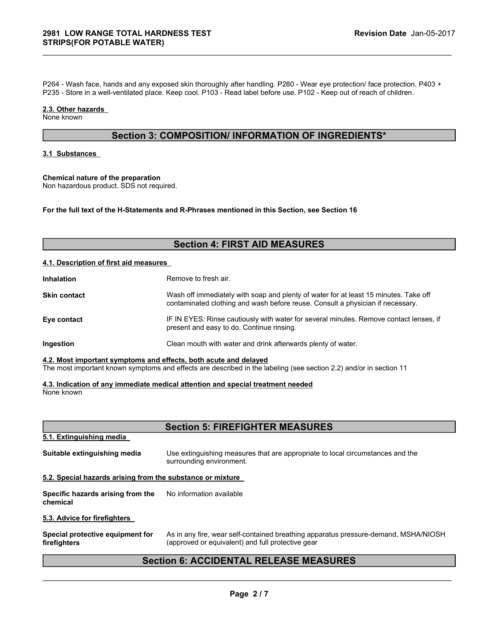2981 LOW RANGE TOTAL HARDNESS TEST<br>STRIPS(FOR POTABLE WATER)<br>P264 - Wash face, hands and any exposed skin thoroughly after handling. P280 - Wear eye protection/ face pro<br>P235 - Store in a well-ventilated place. Keep cool. P264 - Wash face, hands and any exposed skin thoroughly after handling. P280 - Wear eye protection/ face protection. P403 +<br>P284 - Wash face, hands and any exposed skin thoroughly after handling. P280 - Wear eye protection P264 - Wash face, hands and any exposed skin thoroughly after handling. P280 - Wear eye protection/ face protection. P403 +<br>P235 - Store in a well-ventilated place. Keep cool. P103 - Read label before use. P102 - Keep out 2981 LOW RANGE TOTAL HARDNESS TEST<br>STRIPS(FOR POTABLE WATER)<br>P264 - Wash face, hands and any exposed skin thoroughly after handling. P280 - Wear eye p<br>P235 - Store in a well-ventilated place. Keep cool. P103 - Read label b **2981 LOW RANGE TOTAL HARDNESS TEST<br>
STRIPS(FOR POTABLE WATER)**<br>
P264 - Wash face, hands and any exposed skin thoroughly after handling. P280 - Wea<br>
P235 - Store in a well-ventilated place. Keep cool. P103 - Read label bef **EXECUTE ANDIFICATE STAND SET AND AND SET AND ARRES STEST AND STANDABLE WATER)**<br>
FOR THE POSTABLE WATER)<br>
FOR THE PASS - Store in a well-ventilated place. Keep cool. P103 - Read label before use. P102 - Keep out of reach o 2981 LOW RANGE TOTAL HARDNESS TEST Revision Date<br>STRIPS(FOR POTABLE WATER)<br>P284 - Wash face, hands and any exposed skin thoroughly after handling. P280 - Wear eye protection/ face protection<br>P235 - Store in a well-ventilat For the full text of the H-Statements and R-Phrases mentioned in this Section, see Section 16<br>
STRIPS (FOR POTABLE WATER)<br>
P254 - Wash face, hands and any exposed skin thoroughly after handling, P280 - Wear eye protection/

\_\_\_\_\_\_\_\_\_\_\_\_\_\_\_\_\_\_\_\_\_\_\_\_\_\_\_\_\_\_\_\_\_\_\_\_\_\_\_\_\_\_\_\_\_\_\_\_\_\_\_\_\_\_\_\_\_\_\_\_\_\_\_\_\_\_\_\_\_\_\_\_\_\_\_\_\_\_\_\_\_\_\_\_\_\_\_\_\_\_\_\_\_

# Section 3: COMPOSITION/ INFORMATION OF INGREDIENTS\*

# Section 4: FIRST AID MEASURES

|                                                                                | P264 - Wash face, hands and any exposed skin thoroughly after handling. P280 - Wear eye protection/ face protection. P403 +<br>P235 - Store in a well-ventilated place. Keep cool. P103 - Read label before use. P102 - Keep out of reach of children. |
|--------------------------------------------------------------------------------|--------------------------------------------------------------------------------------------------------------------------------------------------------------------------------------------------------------------------------------------------------|
| 2.3. Other hazards<br>None known                                               |                                                                                                                                                                                                                                                        |
|                                                                                | Section 3: COMPOSITION/ INFORMATION OF INGREDIENTS*                                                                                                                                                                                                    |
| 3.1 Substances                                                                 |                                                                                                                                                                                                                                                        |
| Chemical nature of the preparation<br>Non hazardous product. SDS not required. |                                                                                                                                                                                                                                                        |
|                                                                                | For the full text of the H-Statements and R-Phrases mentioned in this Section, see Section 16                                                                                                                                                          |
|                                                                                | <b>Section 4: FIRST AID MEASURES</b>                                                                                                                                                                                                                   |
| 4.1. Description of first aid measures                                         |                                                                                                                                                                                                                                                        |
| Inhalation                                                                     | Remove to fresh air.                                                                                                                                                                                                                                   |
| Skin contact                                                                   | Wash off immediately with soap and plenty of water for at least 15 minutes. Take off<br>contaminated clothing and wash before reuse. Consult a physician if necessary.                                                                                 |
| Eye contact                                                                    | IF IN EYES: Rinse cautiously with water for several minutes. Remove contact lenses, if<br>present and easy to do. Continue rinsing.                                                                                                                    |
| Ingestion                                                                      | Clean mouth with water and drink afterwards plenty of water.                                                                                                                                                                                           |
| 4.2. Most important symptoms and effects, both acute and delayed               | The most important known symptoms and effects are described in the labeling (see section 2.2) and/or in section 11                                                                                                                                     |
| None known                                                                     | 4.3. Indication of any immediate medical attention and special treatment needed                                                                                                                                                                        |
|                                                                                | <b>Section 5: FIREFIGHTER MEASURES</b>                                                                                                                                                                                                                 |
| 5.1. Extinguishing media                                                       |                                                                                                                                                                                                                                                        |
| Suitable extinguishing media                                                   | Use extinguishing measures that are appropriate to local circumstances and the<br>surrounding environment.                                                                                                                                             |
| 5.2. Special hazards arising from the substance or mixture                     |                                                                                                                                                                                                                                                        |
| Specific hazards arising from the<br>chemical                                  | No information available                                                                                                                                                                                                                               |

# Section 5: FIREFIGHTER MEASURES

| Remove to fresh air.<br>Inhalation<br>Wash off immediately with soap and plenty of water for at least 15 minutes. Take off<br>contaminated clothing and wash before reuse. Consult a physician if necessary.<br>IF IN EYES: Rinse cautiously with water for several minutes. Remove contact lenses, if<br>present and easy to do. Continue rinsing.<br>Clean mouth with water and drink afterwards plenty of water.<br><b>Section 5: FIREFIGHTER MEASURES</b><br>Use extinguishing measures that are appropriate to local circumstances and the<br>surrounding environment.<br>No information available<br>As in any fire, wear self-contained breathing apparatus pressure-demand, MSHA/NIOSH<br>(approved or equivalent) and full protective gear<br><b>Section 6: ACCIDENTAL RELEASE MEASURES</b><br>Page 2/7 |  |
|------------------------------------------------------------------------------------------------------------------------------------------------------------------------------------------------------------------------------------------------------------------------------------------------------------------------------------------------------------------------------------------------------------------------------------------------------------------------------------------------------------------------------------------------------------------------------------------------------------------------------------------------------------------------------------------------------------------------------------------------------------------------------------------------------------------|--|
| Skin contact<br>Eye contact<br>Ingestion<br>4.2. Most important symptoms and effects, both acute and delayed<br>The most important known symptoms and effects are described in the labeling (see section 2.2) and/or in section 11<br>4.3. Indication of any immediate medical attention and special treatment needed<br>None known<br>5.1. Extinguishing media<br>Suitable extinguishing media<br>5.2. Special hazards arising from the substance or mixture<br>Specific hazards arising from the<br>chemical<br>5.3. Advice for firefighters<br>Special protective equipment for<br>firefighters                                                                                                                                                                                                               |  |
|                                                                                                                                                                                                                                                                                                                                                                                                                                                                                                                                                                                                                                                                                                                                                                                                                  |  |
|                                                                                                                                                                                                                                                                                                                                                                                                                                                                                                                                                                                                                                                                                                                                                                                                                  |  |
|                                                                                                                                                                                                                                                                                                                                                                                                                                                                                                                                                                                                                                                                                                                                                                                                                  |  |
|                                                                                                                                                                                                                                                                                                                                                                                                                                                                                                                                                                                                                                                                                                                                                                                                                  |  |
|                                                                                                                                                                                                                                                                                                                                                                                                                                                                                                                                                                                                                                                                                                                                                                                                                  |  |
|                                                                                                                                                                                                                                                                                                                                                                                                                                                                                                                                                                                                                                                                                                                                                                                                                  |  |
|                                                                                                                                                                                                                                                                                                                                                                                                                                                                                                                                                                                                                                                                                                                                                                                                                  |  |
|                                                                                                                                                                                                                                                                                                                                                                                                                                                                                                                                                                                                                                                                                                                                                                                                                  |  |
|                                                                                                                                                                                                                                                                                                                                                                                                                                                                                                                                                                                                                                                                                                                                                                                                                  |  |
|                                                                                                                                                                                                                                                                                                                                                                                                                                                                                                                                                                                                                                                                                                                                                                                                                  |  |
|                                                                                                                                                                                                                                                                                                                                                                                                                                                                                                                                                                                                                                                                                                                                                                                                                  |  |
|                                                                                                                                                                                                                                                                                                                                                                                                                                                                                                                                                                                                                                                                                                                                                                                                                  |  |
|                                                                                                                                                                                                                                                                                                                                                                                                                                                                                                                                                                                                                                                                                                                                                                                                                  |  |
|                                                                                                                                                                                                                                                                                                                                                                                                                                                                                                                                                                                                                                                                                                                                                                                                                  |  |
|                                                                                                                                                                                                                                                                                                                                                                                                                                                                                                                                                                                                                                                                                                                                                                                                                  |  |
|                                                                                                                                                                                                                                                                                                                                                                                                                                                                                                                                                                                                                                                                                                                                                                                                                  |  |
|                                                                                                                                                                                                                                                                                                                                                                                                                                                                                                                                                                                                                                                                                                                                                                                                                  |  |
|                                                                                                                                                                                                                                                                                                                                                                                                                                                                                                                                                                                                                                                                                                                                                                                                                  |  |
|                                                                                                                                                                                                                                                                                                                                                                                                                                                                                                                                                                                                                                                                                                                                                                                                                  |  |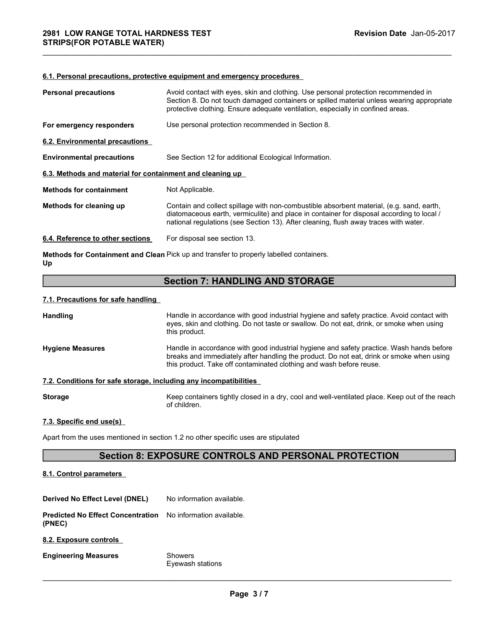| <b>2981 LOW RANGE TOTAL HARDNESS TEST</b><br><b>STRIPS(FOR POTABLE WATER)</b> |                                                                                                                                                                                                                                                                               | Revision Date Jan-05-2017                                                                                                                                                            |
|-------------------------------------------------------------------------------|-------------------------------------------------------------------------------------------------------------------------------------------------------------------------------------------------------------------------------------------------------------------------------|--------------------------------------------------------------------------------------------------------------------------------------------------------------------------------------|
|                                                                               |                                                                                                                                                                                                                                                                               |                                                                                                                                                                                      |
|                                                                               | 6.1. Personal precautions, protective equipment and emergency procedures                                                                                                                                                                                                      |                                                                                                                                                                                      |
| <b>Personal precautions</b>                                                   | Avoid contact with eyes, skin and clothing. Use personal protection recommended in<br>protective clothing. Ensure adequate ventilation, especially in confined areas.                                                                                                         | Section 8. Do not touch damaged containers or spilled material unless wearing appropriate                                                                                            |
| For emergency responders                                                      | Use personal protection recommended in Section 8.                                                                                                                                                                                                                             |                                                                                                                                                                                      |
| 6.2. Environmental precautions                                                |                                                                                                                                                                                                                                                                               |                                                                                                                                                                                      |
| <b>Environmental precautions</b>                                              | See Section 12 for additional Ecological Information.                                                                                                                                                                                                                         |                                                                                                                                                                                      |
| 6.3. Methods and material for containment and cleaning up                     |                                                                                                                                                                                                                                                                               |                                                                                                                                                                                      |
| <b>Methods for containment</b>                                                | Not Applicable.                                                                                                                                                                                                                                                               |                                                                                                                                                                                      |
| Methods for cleaning up                                                       | Contain and collect spillage with non-combustible absorbent material, (e.g. sand, earth,<br>diatomaceous earth, vermiculite) and place in container for disposal according to local /<br>national regulations (see Section 13). After cleaning, flush away traces with water. |                                                                                                                                                                                      |
| 6.4. Reference to other sections                                              | For disposal see section 13.                                                                                                                                                                                                                                                  |                                                                                                                                                                                      |
| Up                                                                            | Methods for Containment and Clean Pick up and transfer to properly labelled containers.                                                                                                                                                                                       |                                                                                                                                                                                      |
|                                                                               | <b>Section 7: HANDLING AND STORAGE</b>                                                                                                                                                                                                                                        |                                                                                                                                                                                      |
| 7.1. Precautions for safe handling                                            |                                                                                                                                                                                                                                                                               |                                                                                                                                                                                      |
| Handling                                                                      | eyes, skin and clothing. Do not taste or swallow. Do not eat, drink, or smoke when using<br>this product.                                                                                                                                                                     | Handle in accordance with good industrial hygiene and safety practice. Avoid contact with                                                                                            |
| <b>Hygiene Measures</b>                                                       | this product. Take off contaminated clothing and wash before reuse.                                                                                                                                                                                                           | Handle in accordance with good industrial hygiene and safety practice. Wash hands before<br>breaks and immediately after handling the product. Do not eat, drink or smoke when using |
| 7.2. Conditions for safe storage, including any incompatibilities             |                                                                                                                                                                                                                                                                               |                                                                                                                                                                                      |
| <b>Storage</b>                                                                | of children.                                                                                                                                                                                                                                                                  | Keep containers tightly closed in a dry, cool and well-ventilated place. Keep out of the reach                                                                                       |

# Section 7: HANDLING AND STORAGE

| 6.5. Metrious and material for containment and cleaning up        |                                                                                                                                                                                                                                                                               |
|-------------------------------------------------------------------|-------------------------------------------------------------------------------------------------------------------------------------------------------------------------------------------------------------------------------------------------------------------------------|
| <b>Methods for containment</b>                                    | Not Applicable.                                                                                                                                                                                                                                                               |
| Methods for cleaning up                                           | Contain and collect spillage with non-combustible absorbent material, (e.g. sand, earth,<br>diatomaceous earth, vermiculite) and place in container for disposal according to local /<br>national regulations (see Section 13). After cleaning, flush away traces with water. |
| 6.4. Reference to other sections                                  | For disposal see section 13.                                                                                                                                                                                                                                                  |
| Up                                                                | Methods for Containment and Clean Pick up and transfer to properly labelled containers.                                                                                                                                                                                       |
|                                                                   | <b>Section 7: HANDLING AND STORAGE</b>                                                                                                                                                                                                                                        |
| 7.1. Precautions for safe handling                                |                                                                                                                                                                                                                                                                               |
| <b>Handling</b>                                                   | Handle in accordance with good industrial hygiene and safety practice. Avoid contact with<br>eyes, skin and clothing. Do not taste or swallow. Do not eat, drink, or smoke when using<br>this product.                                                                        |
| <b>Hygiene Measures</b>                                           | Handle in accordance with good industrial hygiene and safety practice. Wash hands before<br>breaks and immediately after handling the product. Do not eat, drink or smoke when using<br>this product. Take off contaminated clothing and wash before reuse.                   |
| 7.2. Conditions for safe storage, including any incompatibilities |                                                                                                                                                                                                                                                                               |
| <b>Storage</b>                                                    | Keep containers tightly closed in a dry, cool and well-ventilated place. Keep out of the reach<br>of children.                                                                                                                                                                |
| 7.3. Specific end use(s)                                          |                                                                                                                                                                                                                                                                               |
|                                                                   | Apart from the uses mentioned in section 1.2 no other specific uses are stipulated                                                                                                                                                                                            |
|                                                                   | <b>Section 8: EXPOSURE CONTROLS AND PERSONAL PROTECTION</b>                                                                                                                                                                                                                   |
| 8.1. Control parameters                                           |                                                                                                                                                                                                                                                                               |
| Derived No Effect Level (DNEL)                                    | No information available.                                                                                                                                                                                                                                                     |
| <b>Predicted No Effect Concentration</b><br>(PNEC)                | No information available.                                                                                                                                                                                                                                                     |
| 8.2. Exposure controls                                            |                                                                                                                                                                                                                                                                               |
| <b>Engineering Measures</b>                                       | Showers<br>Eyewash stations                                                                                                                                                                                                                                                   |

# Section 8: EXPOSURE CONTROLS AND PERSONAL PROTECTION

|                                                                   | breaks and immediately after handling the product. Do not eat, drink or smoke when using<br>this product. Take off contaminated clothing and wash before reuse. | Handle in accordance with good industrial hygiene and salety practice. Wash hands before |
|-------------------------------------------------------------------|-----------------------------------------------------------------------------------------------------------------------------------------------------------------|------------------------------------------------------------------------------------------|
| 7.2. Conditions for safe storage, including any incompatibilities |                                                                                                                                                                 |                                                                                          |
| <b>Storage</b>                                                    | Keep containers tightly closed in a dry, cool and well-ventilated place. Keep out of the reach<br>of children.                                                  |                                                                                          |
| 7.3. Specific end use(s)                                          |                                                                                                                                                                 |                                                                                          |
|                                                                   | Apart from the uses mentioned in section 1.2 no other specific uses are stipulated                                                                              |                                                                                          |
|                                                                   | <b>Section 8: EXPOSURE CONTROLS AND PERSONAL PROTECTION</b>                                                                                                     |                                                                                          |
| 8.1. Control parameters                                           |                                                                                                                                                                 |                                                                                          |
| <b>Derived No Effect Level (DNEL)</b>                             | No information available.                                                                                                                                       |                                                                                          |
| <b>Predicted No Effect Concentration</b><br>(PNEC)                | No information available.                                                                                                                                       |                                                                                          |
| 8.2. Exposure controls                                            |                                                                                                                                                                 |                                                                                          |
| <b>Engineering Measures</b>                                       | <b>Showers</b><br>Eyewash stations                                                                                                                              |                                                                                          |
|                                                                   | Page 3/7                                                                                                                                                        |                                                                                          |
|                                                                   |                                                                                                                                                                 |                                                                                          |
|                                                                   |                                                                                                                                                                 |                                                                                          |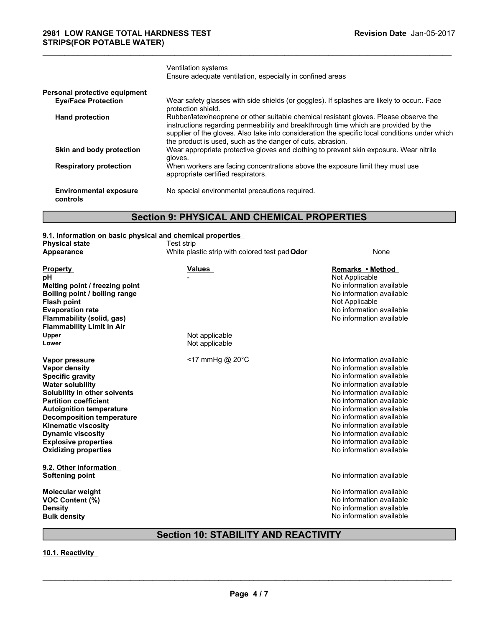| 2981 LOW RANGE TOTAL HARDNESS TEST<br><b>STRIPS(FOR POTABLE WATER)</b> |                                                                                                                                                                                                                                                                                                                                              | Revision Date Jan-05-2017                            |
|------------------------------------------------------------------------|----------------------------------------------------------------------------------------------------------------------------------------------------------------------------------------------------------------------------------------------------------------------------------------------------------------------------------------------|------------------------------------------------------|
|                                                                        | Ventilation systems                                                                                                                                                                                                                                                                                                                          |                                                      |
|                                                                        | Ensure adequate ventilation, especially in confined areas                                                                                                                                                                                                                                                                                    |                                                      |
| Personal protective equipment<br><b>Eye/Face Protection</b>            | Wear safety glasses with side shields (or goggles). If splashes are likely to occur:. Face<br>protection shield.                                                                                                                                                                                                                             |                                                      |
| <b>Hand protection</b>                                                 | Rubber/latex/neoprene or other suitable chemical resistant gloves. Please observe the<br>instructions regarding permeability and breakthrough time which are provided by the<br>supplier of the gloves. Also take into consideration the specific local conditions under which<br>the product is used, such as the danger of cuts, abrasion. |                                                      |
| Skin and body protection                                               | Wear appropriate protective gloves and clothing to prevent skin exposure. Wear nitrile<br>gloves.                                                                                                                                                                                                                                            |                                                      |
| <b>Respiratory protection</b>                                          | When workers are facing concentrations above the exposure limit they must use<br>appropriate certified respirators.                                                                                                                                                                                                                          |                                                      |
| <b>Environmental exposure</b><br>controls                              | No special environmental precautions required.                                                                                                                                                                                                                                                                                               |                                                      |
|                                                                        | <b>Section 9: PHYSICAL AND CHEMICAL PROPERTIES</b>                                                                                                                                                                                                                                                                                           |                                                      |
| 9.1. Information on basic physical and chemical properties             |                                                                                                                                                                                                                                                                                                                                              |                                                      |
| <b>Physical state</b><br>Appearance                                    | Test strip<br>White plastic strip with colored test pad Odor                                                                                                                                                                                                                                                                                 | None                                                 |
| <b>Property</b><br>pH                                                  | <u>Values</u>                                                                                                                                                                                                                                                                                                                                | Remarks • Method<br>Not Applicable                   |
| Melting point / freezing point<br>Boiling point / boiling range        |                                                                                                                                                                                                                                                                                                                                              | No information available<br>No information available |
| <b>Flash point</b><br><b>Evaporation rate</b>                          |                                                                                                                                                                                                                                                                                                                                              | Not Applicable<br>No information available           |
| Flammability (solid, gas)                                              |                                                                                                                                                                                                                                                                                                                                              | No information available                             |
| <b>Flammability Limit in Air</b><br>Upper                              | Not applicable                                                                                                                                                                                                                                                                                                                               |                                                      |

# Section 9: PHYSICAL AND CHEMICAL PROPERTIES

|                                                            | was also glassed millioned sillated for gogglooj. Il opiasiloo als liitoly to<br>protection shield.                                                                          |                                                                               |  |
|------------------------------------------------------------|------------------------------------------------------------------------------------------------------------------------------------------------------------------------------|-------------------------------------------------------------------------------|--|
| <b>Hand protection</b>                                     | Rubber/latex/neoprene or other suitable chemical resistant gloves. Please observe the<br>instructions regarding permeability and breakthrough time which are provided by the |                                                                               |  |
|                                                            | supplier of the gloves. Also take into consideration the specific local conditions under which                                                                               |                                                                               |  |
|                                                            | the product is used, such as the danger of cuts, abrasion.                                                                                                                   |                                                                               |  |
| Skin and body protection                                   | Wear appropriate protective gloves and clothing to prevent skin exposure. Wear nitrile<br>gloves.                                                                            |                                                                               |  |
| <b>Respiratory protection</b>                              | appropriate certified respirators.                                                                                                                                           | When workers are facing concentrations above the exposure limit they must use |  |
| <b>Environmental exposure</b><br>controls                  | No special environmental precautions required.                                                                                                                               |                                                                               |  |
|                                                            | <b>Section 9: PHYSICAL AND CHEMICAL PROPERTIES</b>                                                                                                                           |                                                                               |  |
| 9.1. Information on basic physical and chemical properties |                                                                                                                                                                              |                                                                               |  |
| <b>Physical state</b>                                      | Test strip                                                                                                                                                                   |                                                                               |  |
| <b>Appearance</b>                                          | White plastic strip with colored test pad Odor                                                                                                                               | None                                                                          |  |
| <b>Property</b>                                            | <b>Values</b>                                                                                                                                                                | Remarks • Method                                                              |  |
| pH                                                         |                                                                                                                                                                              | Not Applicable                                                                |  |
| Melting point / freezing point                             |                                                                                                                                                                              | No information available<br>No information available                          |  |
| Boiling point / boiling range<br><b>Flash point</b>        |                                                                                                                                                                              | Not Applicable                                                                |  |
| <b>Evaporation rate</b>                                    |                                                                                                                                                                              | No information available                                                      |  |
| Flammability (solid, gas)                                  |                                                                                                                                                                              | No information available                                                      |  |
| <b>Flammability Limit in Air</b>                           |                                                                                                                                                                              |                                                                               |  |
| Upper                                                      | Not applicable                                                                                                                                                               |                                                                               |  |
| Lower                                                      | Not applicable                                                                                                                                                               |                                                                               |  |
| Vapor pressure                                             | <17 mmHg @ 20°C                                                                                                                                                              | No information available                                                      |  |
| Vapor density                                              |                                                                                                                                                                              | No information available                                                      |  |
| <b>Specific gravity</b>                                    |                                                                                                                                                                              | No information available                                                      |  |
| <b>Water solubility</b>                                    |                                                                                                                                                                              | No information available                                                      |  |
| Solubility in other solvents                               |                                                                                                                                                                              | No information available                                                      |  |
| <b>Partition coefficient</b>                               |                                                                                                                                                                              | No information available                                                      |  |
| <b>Autoignition temperature</b>                            |                                                                                                                                                                              | No information available                                                      |  |
| <b>Decomposition temperature</b>                           |                                                                                                                                                                              | No information available                                                      |  |
| <b>Kinematic viscosity</b>                                 |                                                                                                                                                                              | No information available                                                      |  |
| <b>Dynamic viscosity</b>                                   |                                                                                                                                                                              | No information available<br>No information available                          |  |
| <b>Explosive properties</b><br><b>Oxidizing properties</b> |                                                                                                                                                                              | No information available                                                      |  |
|                                                            |                                                                                                                                                                              |                                                                               |  |
| 9.2. Other information                                     |                                                                                                                                                                              |                                                                               |  |
| <b>Softening point</b>                                     |                                                                                                                                                                              | No information available                                                      |  |
| <b>Molecular weight</b>                                    |                                                                                                                                                                              | No information available                                                      |  |
| VOC Content (%)                                            |                                                                                                                                                                              | No information available                                                      |  |
| <b>Density</b>                                             |                                                                                                                                                                              | No information available                                                      |  |
| <b>Bulk density</b>                                        |                                                                                                                                                                              | No information available                                                      |  |
|                                                            | <b>Section 10: STABILITY AND REACTIVITY</b>                                                                                                                                  |                                                                               |  |
|                                                            |                                                                                                                                                                              |                                                                               |  |
| 10.1. Reactivity                                           |                                                                                                                                                                              |                                                                               |  |
|                                                            |                                                                                                                                                                              |                                                                               |  |
|                                                            |                                                                                                                                                                              |                                                                               |  |
|                                                            | Page 4/7                                                                                                                                                                     |                                                                               |  |
|                                                            |                                                                                                                                                                              |                                                                               |  |
|                                                            |                                                                                                                                                                              |                                                                               |  |
|                                                            |                                                                                                                                                                              |                                                                               |  |
|                                                            |                                                                                                                                                                              |                                                                               |  |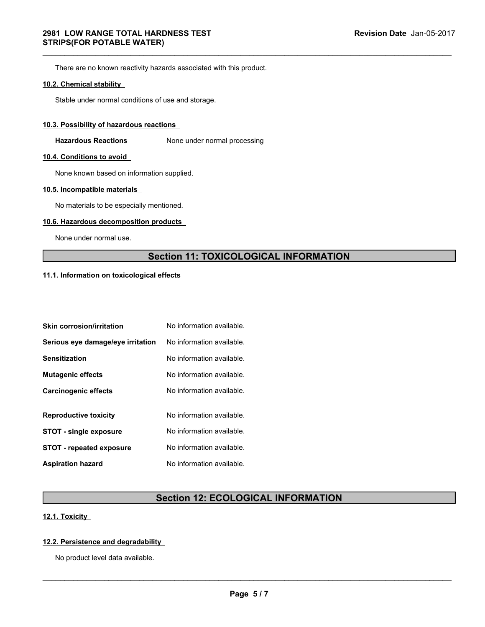# Section 11: TOXICOLOGICAL INFORMATION The are in o known readability<br>
10.2. Chemical stability<br>
Stable under normal conditions of use and storage.<br>
10.3. Possibility of hazardous reactions<br>
10.4. Conditions to avoid<br>
10.4. Conditions to avoid<br>
10.6. Incompatib

| 10.3. Possibility of hazardous reactions   |                                              |  |
|--------------------------------------------|----------------------------------------------|--|
| <b>Hazardous Reactions</b>                 | None under normal processing                 |  |
| 10.4. Conditions to avoid                  |                                              |  |
| None known based on information supplied.  |                                              |  |
| 10.5. Incompatible materials               |                                              |  |
| No materials to be especially mentioned.   |                                              |  |
| 10.6. Hazardous decomposition products     |                                              |  |
| None under normal use.                     |                                              |  |
|                                            | <b>Section 11: TOXICOLOGICAL INFORMATION</b> |  |
| 11.1. Information on toxicological effects |                                              |  |
|                                            |                                              |  |
|                                            |                                              |  |
| <b>Skin corrosion/irritation</b>           | No information available.                    |  |
| Serious eye damage/eye irritation          | No information available.                    |  |
| <b>Sensitization</b>                       | No information available.                    |  |
| <b>Mutagenic effects</b>                   | No information available.                    |  |
| <b>Carcinogenic effects</b>                | No information available.                    |  |
| <b>Reproductive toxicity</b>               | No information available.                    |  |
| <b>STOT - single exposure</b>              | No information available.                    |  |
| <b>STOT - repeated exposure</b>            | No information available.                    |  |
| <b>Aspiration hazard</b>                   | No information available.                    |  |
|                                            |                                              |  |
|                                            | <b>Section 12: ECOLOGICAL INFORMATION</b>    |  |
| 12.1. Toxicity                             |                                              |  |
| 12.2. Persistence and degradability        |                                              |  |
| No product level data available.           |                                              |  |
|                                            |                                              |  |
|                                            |                                              |  |
|                                            | Page 5/7                                     |  |
|                                            |                                              |  |
|                                            |                                              |  |

# Section 12: ECOLOGICAL INFORMATION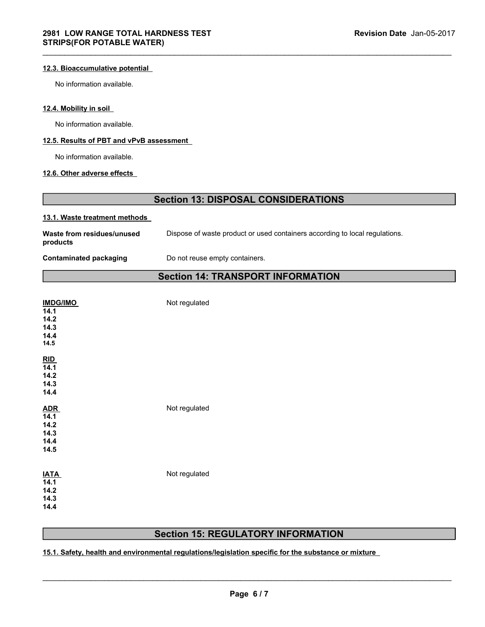# Section 13: DISPOSAL CONSIDERATIONS

| <b>2981 LOW RANGE TOTAL HARDNESS TEST</b><br><b>STRIPS(FOR POTABLE WATER)</b> |                                                                             | Revision Date Jan-05-2017 |
|-------------------------------------------------------------------------------|-----------------------------------------------------------------------------|---------------------------|
| 12.3. Bioaccumulative potential                                               |                                                                             |                           |
| No information available.                                                     |                                                                             |                           |
| 12.4. Mobility in soil                                                        |                                                                             |                           |
| No information available.                                                     |                                                                             |                           |
| 12.5. Results of PBT and vPvB assessment                                      |                                                                             |                           |
| No information available.                                                     |                                                                             |                           |
| 12.6. Other adverse effects                                                   |                                                                             |                           |
|                                                                               | <b>Section 13: DISPOSAL CONSIDERATIONS</b>                                  |                           |
| 13.1. Waste treatment methods                                                 |                                                                             |                           |
| Waste from residues/unused<br>products                                        | Dispose of waste product or used containers according to local regulations. |                           |
| <b>Contaminated packaging</b>                                                 | Do not reuse empty containers.                                              |                           |
|                                                                               | <b>Section 14: TRANSPORT INFORMATION</b>                                    |                           |
| <u>IMDG/IMO</u><br>.                                                          | Not regulated                                                               |                           |

# Section 14: TRANSPORT INFORMATION

| <b>IMDG/IMO</b><br>14.1<br>14.2<br>14.3<br>14.4<br>14.5                                                                                           | Not regulated |  |
|---------------------------------------------------------------------------------------------------------------------------------------------------|---------------|--|
| $\frac{\text{RID}}{14.1}$<br>14.2<br>14.3<br>14.4                                                                                                 |               |  |
| $\frac{\text{ADR}}{\text{14.1}}$<br>14.2<br>14.3<br>14.4<br>14.5                                                                                  | Not regulated |  |
| <b>IATA</b><br>14.1<br>14.2<br>14.3<br>14.4                                                                                                       | Not regulated |  |
| <b>Section 15: REGULATORY INFORMATION</b><br>15.1. Safety, health and environmental regulations/legislation specific for the substance or mixture |               |  |
|                                                                                                                                                   | Page 6/7      |  |
|                                                                                                                                                   |               |  |

# Section 15: REGULATORY INFORMATION